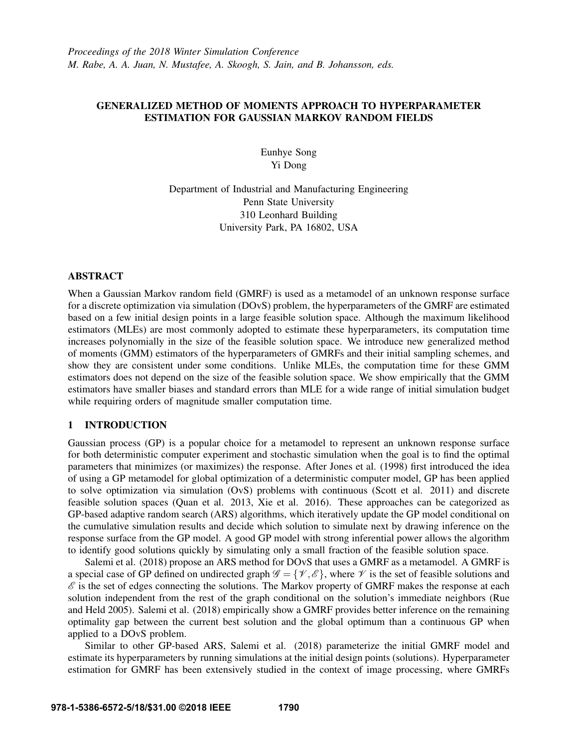# GENERALIZED METHOD OF MOMENTS APPROACH TO HYPERPARAMETER ESTIMATION FOR GAUSSIAN MARKOV RANDOM FIELDS

Eunhye Song Yi Dong

Department of Industrial and Manufacturing Engineering Penn State University 310 Leonhard Building University Park, PA 16802, USA

## ABSTRACT

When a Gaussian Markov random field (GMRF) is used as a metamodel of an unknown response surface for a discrete optimization via simulation (DOvS) problem, the hyperparameters of the GMRF are estimated based on a few initial design points in a large feasible solution space. Although the maximum likelihood estimators (MLEs) are most commonly adopted to estimate these hyperparameters, its computation time increases polynomially in the size of the feasible solution space. We introduce new generalized method of moments (GMM) estimators of the hyperparameters of GMRFs and their initial sampling schemes, and show they are consistent under some conditions. Unlike MLEs, the computation time for these GMM estimators does not depend on the size of the feasible solution space. We show empirically that the GMM estimators have smaller biases and standard errors than MLE for a wide range of initial simulation budget while requiring orders of magnitude smaller computation time.

## 1 INTRODUCTION

Gaussian process (GP) is a popular choice for a metamodel to represent an unknown response surface for both deterministic computer experiment and stochastic simulation when the goal is to find the optimal parameters that minimizes (or maximizes) the response. After Jones et al. (1998) first introduced the idea of using a GP metamodel for global optimization of a deterministic computer model, GP has been applied to solve optimization via simulation (OvS) problems with continuous (Scott et al. 2011) and discrete feasible solution spaces (Quan et al. 2013, Xie et al. 2016). These approaches can be categorized as GP-based adaptive random search (ARS) algorithms, which iteratively update the GP model conditional on the cumulative simulation results and decide which solution to simulate next by drawing inference on the response surface from the GP model. A good GP model with strong inferential power allows the algorithm to identify good solutions quickly by simulating only a small fraction of the feasible solution space.

Salemi et al. (2018) propose an ARS method for DOvS that uses a GMRF as a metamodel. A GMRF is a special case of GP defined on undirected graph  $\mathscr{G} = {\mathscr{V}, \mathscr{E}}$ , where  $\mathscr{V}$  is the set of feasible solutions and  $\mathscr E$  is the set of edges connecting the solutions. The Markov property of GMRF makes the response at each solution independent from the rest of the graph conditional on the solution's immediate neighbors (Rue and Held 2005). Salemi et al. (2018) empirically show a GMRF provides better inference on the remaining optimality gap between the current best solution and the global optimum than a continuous GP when applied to a DOvS problem.

Similar to other GP-based ARS, Salemi et al. (2018) parameterize the initial GMRF model and estimate its hyperparameters by running simulations at the initial design points (solutions). Hyperparameter estimation for GMRF has been extensively studied in the context of image processing, where GMRFs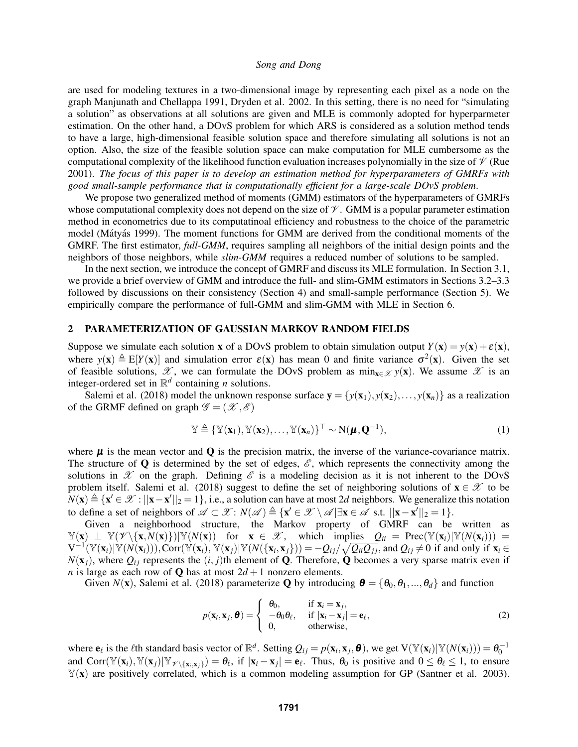are used for modeling textures in a two-dimensional image by representing each pixel as a node on the graph Manjunath and Chellappa 1991, Dryden et al. 2002. In this setting, there is no need for "simulating a solution" as observations at all solutions are given and MLE is commonly adopted for hyperparmeter estimation. On the other hand, a DOvS problem for which ARS is considered as a solution method tends to have a large, high-dimensional feasible solution space and therefore simulating all solutions is not an option. Also, the size of the feasible solution space can make computation for MLE cumbersome as the computational complexity of the likelihood function evaluation increases polynomially in the size of  $\mathcal V$  (Rue 2001). *The focus of this paper is to develop an estimation method for hyperparameters of GMRFs with good small-sample performance that is computationally efficient for a large-scale DOvS problem*.

We propose two generalized method of moments (GMM) estimators of the hyperparameters of GMRFs whose computational complexity does not depend on the size of  $\mathcal V$ . GMM is a popular parameter estimation method in econometrics due to its computatinoal efficiency and robustness to the choice of the parametric model (Mátyás 1999). The moment functions for GMM are derived from the conditional moments of the GMRF. The first estimator, *full-GMM*, requires sampling all neighbors of the initial design points and the neighbors of those neighbors, while *slim-GMM* requires a reduced number of solutions to be sampled.

In the next section, we introduce the concept of GMRF and discuss its MLE formulation. In Section 3.1, we provide a brief overview of GMM and introduce the full- and slim-GMM estimators in Sections 3.2–3.3 followed by discussions on their consistency (Section 4) and small-sample performance (Section 5). We empirically compare the performance of full-GMM and slim-GMM with MLE in Section 6.

### 2 PARAMETERIZATION OF GAUSSIAN MARKOV RANDOM FIELDS

Suppose we simulate each solution x of a DOvS problem to obtain simulation output  $Y(x) = y(x) + \varepsilon(x)$ , where  $y(x) \triangleq E[Y(x)]$  and simulation error  $\varepsilon(x)$  has mean 0 and finite variance  $\sigma^2(x)$ . Given the set of feasible solutions,  $\mathscr X$ , we can formulate the DOvS problem as  $\min_{\mathbf x \in \mathscr X} y(\mathbf x)$ . We assume  $\mathscr X$  is an integer-ordered set in  $\mathbb{R}^d$  containing *n* solutions.

Salemi et al. (2018) model the unknown response surface  $y = \{y(x_1), y(x_2), \ldots, y(x_n)\}\)$  as a realization of the GRMF defined on graph  $\mathscr{G} = (\mathscr{X}, \mathscr{E})$ 

$$
\mathbb{Y} \triangleq {\mathbb{Y}(\mathbf{x}_1), \mathbb{Y}(\mathbf{x}_2), \dots, \mathbb{Y}(\mathbf{x}_n)}^\top \sim \mathbf{N}(\boldsymbol{\mu}, \mathbf{Q}^{-1}),
$$
\n(1)

where  $\mu$  is the mean vector and  $\bf{Q}$  is the precision matrix, the inverse of the variance-covariance matrix. The structure of Q is determined by the set of edges,  $\mathscr{E}$ , which represents the connectivity among the solutions in  $\mathscr X$  on the graph. Defining  $\mathscr E$  is a modeling decision as it is not inherent to the DOvS problem itself. Salemi et al. (2018) suggest to define the set of neighboring solutions of  $\mathbf{x} \in \mathcal{X}$  to be  $N(x) \triangleq {x' \in \mathcal{X} : ||x - x'||_2 = 1}, \text{ i.e., a solution can have at most 2*d* neighbors. We generalize this notation$ to define a set of neighbors of  $\mathscr{A} \subset \mathscr{X} : N(\mathscr{A}) \triangleq {\mathbf{x}' \in \mathscr{X} \setminus \mathscr{A} | \exists \mathbf{x} \in \mathscr{A} \text{ s.t. } ||\mathbf{x} - \mathbf{x}'||_2 = 1}.$ 

Given a neighborhood structure, the Markov property of GMRF can be written as  $\mathbb{Y}(\mathbf{x}) \perp \mathbb{Y}(\mathscr{V}\setminus \{\mathbf{x},N(\mathbf{x})\})|\mathbb{Y}(N(\mathbf{x}))$  for  $\mathbf{x} \in \mathscr{X}$ , which implies  $Q_{ii} = \text{Prec}(\mathbb{Y}(\mathbf{x}_i)|\mathbb{Y}(N(\mathbf{x}_i))) =$  $V^{-1}(\mathbb{Y}(\mathbf{x}_i)|\mathbb{Y}(N(\mathbf{x}_i))),$  Corr $(\mathbb{Y}(\mathbf{x}_i), \mathbb{Y}(\mathbf{x}_j)|\mathbb{Y}(N(\{\mathbf{x}_i,\mathbf{x}_j\})) = -Q_{ij}/\sqrt{Q_{ii}Q_{jj}}$ , and  $Q_{ij} \neq 0$  if and only if  $\mathbf{x}_i \in$  $N(\mathbf{x}_i)$ , where  $Q_{ij}$  represents the  $(i, j)$ th element of **Q**. Therefore, **Q** becomes a very sparse matrix even if *n* is large as each row of **Q** has at most  $2d + 1$  nonzero elements.

Given *N*(**x**), Salemi et al. (2018) parameterize **Q** by introducing  $\boldsymbol{\theta} = {\theta_0, \theta_1, ..., \theta_d}$  and function

$$
p(\mathbf{x}_i, \mathbf{x}_j, \boldsymbol{\theta}) = \begin{cases} \theta_0, & \text{if } \mathbf{x}_i = \mathbf{x}_j, \\ -\theta_0 \theta_\ell, & \text{if } |\mathbf{x}_i - \mathbf{x}_j| = \mathbf{e}_\ell, \\ 0, & \text{otherwise,} \end{cases}
$$
(2)

where  $\mathbf{e}_{\ell}$  is the  $\ell$ th standard basis vector of  $\mathbb{R}^d$ . Setting  $Q_{ij} = p(\mathbf{x}_i, \mathbf{x}_j, \boldsymbol{\theta})$ , we get  $V(\mathbb{Y}(\mathbf{x}_i)|\mathbb{Y}(N(\mathbf{x}_i))) = \theta_0^{-1}$ <br>and Corr $(\mathbb{Y}(\mathbf{x}_i), \mathbb{Y}(\mathbf{x}_j)|\mathbb{Y}_{\ell}\times\mathbb{Y}_{\{x_i, x_j\}}) = \theta_{\ell}$  $\mathbb{Y}(\mathbf{x})$  are positively correlated, which is a common modeling assumption for GP (Santner et al. 2003).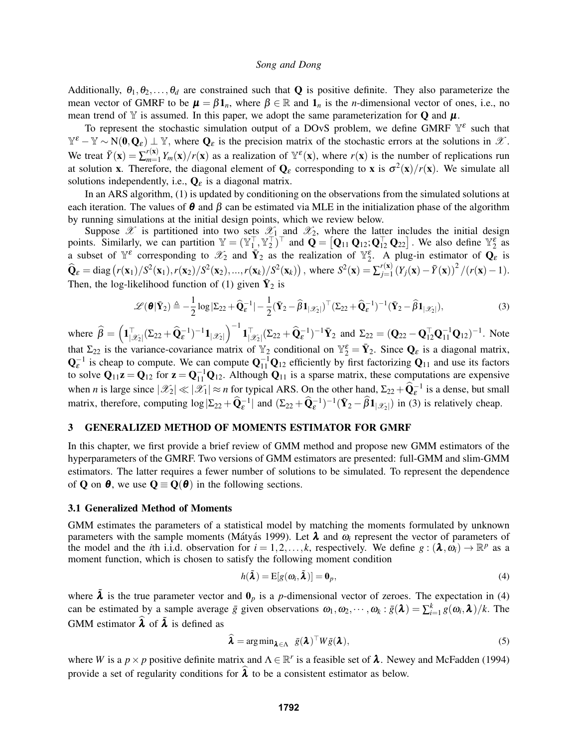Additionally,  $\theta_1, \theta_2, \ldots, \theta_d$  are constrained such that **Q** is positive definite. They also parameterize the mean vector of GMRF to be  $\mu = \beta \mathbb{1}_n$ , where  $\beta \in \mathbb{R}$  and  $\mathbb{1}_n$  is the *n*-dimensional vector of ones, i.e., no mean trend of Y is assumed. In this paper, we adopt the same parameterization for Q and  $\mu$ .

To represent the stochastic simulation output of a DOvS problem, we define GMRF  $\mathbb{Y}^{\varepsilon}$  such that  $\mathbb{Y}^{\varepsilon} - \mathbb{Y} \sim N(\mathbf{0}, \mathbf{Q}_{\varepsilon}) \perp \mathbb{Y}$ , where  $\mathbf{Q}_{\varepsilon}$  is the precision matrix of the stochastic errors at the solutions in  $\mathscr{X}$ . We treat  $\bar{Y}(\mathbf{x}) = \sum_{m=1}^{r(\mathbf{x})}$  $\binom{r(\mathbf{x})}{m=1} Y_m(\mathbf{x})/r(\mathbf{x})$  as a realization of  $\mathbb{Y}^{\varepsilon}(\mathbf{x})$ , where  $r(\mathbf{x})$  is the number of replications run at solution **x**. Therefore, the diagonal element of  $Q_{\varepsilon}$  corresponding to **x** is  $\sigma^2(x)/r(x)$ . We simulate all solutions independently, i.e.,  $\mathbf{Q}_{\varepsilon}$  is a diagonal matrix.

In an ARS algorithm, (1) is updated by conditioning on the observations from the simulated solutions at each iteration. The values of  $\theta$  and  $\beta$  can be estimated via MLE in the initialization phase of the algorithm by running simulations at the initial design points, which we review below.

Suppose  $\mathscr X$  is partitioned into two sets  $\mathscr X_1$  and  $\mathscr X_2$ , where the latter includes the initial design points. Similarly, we can partition  $\mathbb{Y} = (\mathbb{Y}_{1}^{\top}, \mathbb{Y}_{2}^{\top})^{\top}$  and  $\mathbf{Q} = [\mathbf{Q}_{11} \mathbf{Q}_{12}; \mathbf{Q}_{12}^{\top} \mathbf{Q}_{22}]$ . We also define  $\mathbb{Y}_{2}^{\epsilon}$  as a subset of  $\mathbb{Y}^{\varepsilon}$  corresponding to  $\mathscr{X}_2$  and  $\bar{\mathbf{Y}}_2$  as the realization of  $\mathbb{Y}^{\varepsilon}_2$ . A plug-in estimator of  $\mathbf{Q}_{\varepsilon}$  is  $\hat{\mathbf{Q}}_{\varepsilon} = \text{diag}(r(\mathbf{x}_1)/S^2(\mathbf{x}_1), r(\mathbf{x}_2)/S^2(\mathbf{x}_2), ..., r(\mathbf{x}_k)/S^2(\mathbf{x}_k))$ , where  $S^2(\mathbf{x}) = \sum_{j=1}^{r(\mathbf{x})}$  $\frac{r(\mathbf{x})}{j=1} (Y_j(\mathbf{x}) - \bar{Y}(\mathbf{x}))^2 / (r(\mathbf{x}) - 1).$ Then, the log-likelihood function of (1) given  $\bar{Y}_2$  is

$$
\mathscr{L}(\boldsymbol{\theta}|\bar{\mathbf{Y}}_2) \triangleq -\frac{1}{2}\log|\Sigma_{22} + \widehat{\mathbf{Q}}_{\varepsilon}^{-1}| - \frac{1}{2}(\bar{\mathbf{Y}}_2 - \widehat{\boldsymbol{\beta}}\mathbf{1}_{|\mathscr{X}_2|})^{\top}(\Sigma_{22} + \widehat{\mathbf{Q}}_{\varepsilon}^{-1})^{-1}(\bar{\mathbf{Y}}_2 - \widehat{\boldsymbol{\beta}}\mathbf{1}_{|\mathscr{X}_2|}),
$$
\n(3)

where  $\hat{\beta} = (\mathbf{1}_{|\mathcal{X}_2|}^{\top} (\Sigma_{22} + \widehat{\mathbf{Q}}_{\varepsilon}^{-1})^{-1} \mathbf{1}_{|\mathcal{X}_2|})^{-1} \mathbf{1}_{|\mathcal{X}_2|}^{\top} (\Sigma_{22} + \widehat{\mathbf{Q}}_{\varepsilon}^{-1})^{-1} \bar{\mathbf{Y}}_2$  and  $\Sigma_{22} = (\mathbf{Q}_{22} - \mathbf{Q}_{12}^{\top} \mathbf{Q}_{11}^{-1} \mathbf{Q}_{12})^{-1}$ . Note that  $\Sigma_{22}$  is the variance-covariance matrix of  $\mathbb{Y}_2$  conditional on  $\mathbb{Y}_2^{\varepsilon} = \overline{\mathbf{Y}}_2$ . Since  $\mathbf{Q}_{\varepsilon}$  is a diagonal matrix,  $\mathbf{Q}_{\varepsilon}^{-1}$  is cheap to compute. We can compute  $\mathbf{Q}_{11}^{-1}\mathbf{Q}_{12}$  efficiently by first factorizing  $\mathbf{Q}_{11}$  and use its factors to solve  $Q_{11}z = Q_{12}$  for  $z = Q_{11}^{-1}Q_{12}$ . Although  $Q_{11}$  is a sparse matrix, these computations are expensive when *n* is large since  $|\mathscr{X}_2| \ll |\mathscr{X}_1| \approx n$  for typical ARS. On the other hand,  $\Sigma_{22} + \widehat{Q}_{\epsilon}^{-1}$  is a dense, but small matrix, therefore, computing  $\log |\Sigma_{22} + \widehat{Q}_{\varepsilon}^{-1}|$  and  $(\Sigma_{22} + \widehat{Q}_{\varepsilon}^{-1})^{-1}(\bar{Y}_2 - \widehat{\beta}1_{|\mathscr{X}_2|})$  in (3) is relatively cheap.

## 3 GENERALIZED METHOD OF MOMENTS ESTIMATOR FOR GMRF

In this chapter, we first provide a brief review of GMM method and propose new GMM estimators of the hyperparameters of the GMRF. Two versions of GMM estimators are presented: full-GMM and slim-GMM estimators. The latter requires a fewer number of solutions to be simulated. To represent the dependence of **Q** on  $\theta$ , we use  $Q \equiv Q(\theta)$  in the following sections.

### 3.1 Generalized Method of Moments

GMM estimates the parameters of a statistical model by matching the moments formulated by unknown parameters with the sample moments (Mátyás 1999). Let  $\lambda$  and  $\omega_i$  represent the vector of parameters of the model and the *i*th i.i.d. observation for  $i = 1, 2, ..., k$ , respectively. We define  $g : (\lambda, \omega_i) \to \mathbb{R}^p$  as a moment function, which is chosen to satisfy the following moment condition

$$
h(\tilde{\boldsymbol{\lambda}}) = \mathrm{E}[g(\boldsymbol{\omega}_i, \tilde{\boldsymbol{\lambda}})] = \mathbf{0}_p, \tag{4}
$$

where  $\lambda$  is the true parameter vector and  $\mathbf{0}_p$  is a *p*-dimensional vector of zeroes. The expectation in (4) can be estimated by a sample average  $\bar{g}$  given observations  $\omega_1, \omega_2, \dots, \omega_k : \bar{g}(\lambda) = \sum_{i=1}^k g(\omega_i, \lambda)/k$ . The GMM estimator  $\hat{\lambda}$  of  $\tilde{\lambda}$  is defined as

$$
\widehat{\boldsymbol{\lambda}} = \arg \min_{\boldsymbol{\lambda} \in \Lambda} \ \bar{g}(\boldsymbol{\lambda})^{\top} W \bar{g}(\boldsymbol{\lambda}), \tag{5}
$$

where *W* is a  $p \times p$  positive definite matrix and  $\Lambda \in \mathbb{R}^r$  is a feasible set of  $\lambda$ . Newey and McFadden (1994) provide a set of regularity conditions for  $\lambda$  to be a consistent estimator as below.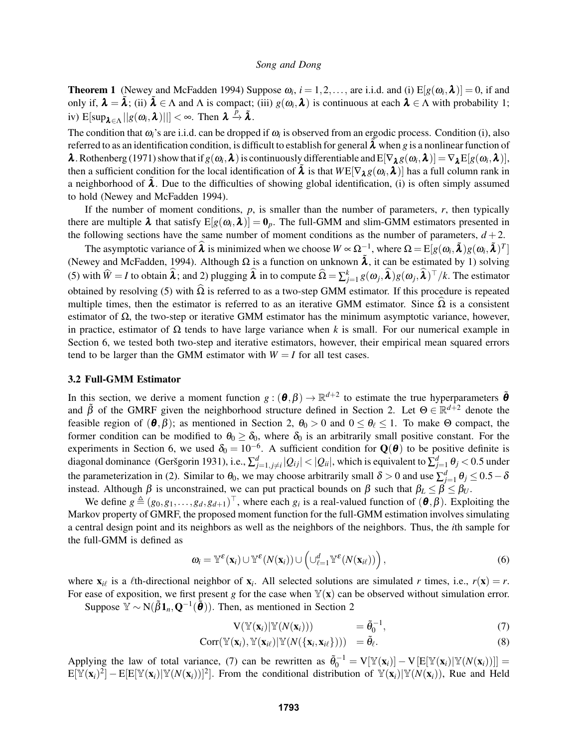**Theorem 1** (Newey and McFadden 1994) Suppose  $\omega_i$ ,  $i = 1, 2, ...,$  are i.i.d. and (i)  $E[g(\omega_i, \lambda)] = 0$ , if and only if,  $\lambda = \tilde{\lambda}$ ; (ii)  $\tilde{\lambda} \in \Lambda$  and  $\Lambda$  is compact; (iii)  $g(\omega_i, \lambda)$  is continuous at each  $\lambda \in \Lambda$  with probability 1; iv)  $E[\sup_{\lambda \in \Lambda} ||g(\omega_i, \lambda)||] < \infty$ . Then  $\lambda \stackrel{p}{\to} \tilde{\lambda}$ .

The condition that  $\omega_i$ 's are i.i.d. can be dropped if  $\omega_i$  is observed from an ergodic process. Condition (i), also referred to as an identification condition, is difficult to establish for general  $\lambda$  when *g* is a nonlinear function of  $\lambda$ . Rothenberg (1971) show that if  $g(\omega_i, \lambda)$  is continuously differentiable and  $E[\nabla_{\lambda} g(\omega_i, \lambda)] = \nabla_{\lambda} E[g(\omega_i, \lambda)]$ , then a sufficient condition for the local identification of  $\tilde{\lambda}$  is that  $W \in [\nabla_{\lambda} g(\omega_i, \lambda)]$  has a full column rank in a neighborhood of  $\lambda$ . Due to the difficulties of showing global identification, (i) is often simply assumed to hold (Newey and McFadden 1994).

If the number of moment conditions, *p*, is smaller than the number of parameters, *r*, then typically there are multiple  $\lambda$  that satisfy  $E[g(\omega_i,\lambda)] = 0_p$ . The full-GMM and slim-GMM estimators presented in the following sections have the same number of moment conditions as the number of parameters,  $d+2$ .

The asymptotic variance of  $\hat{\lambda}$  is minimized when we choose  $W \propto \Omega_{z}^{-1}$ , where  $\Omega = \mathrm{E}[g(\omega_i, \tilde{\lambda})g(\omega_i, \tilde{\lambda})^T]$ (Newey and McFadden, 1994). Although  $\Omega$  is a function on unknown  $\tilde{\lambda}$ , it can be estimated by 1) solving (5) with  $\widehat{W} = I$  to obtain  $\widehat{\lambda}$ ; and 2) plugging  $\widehat{\lambda}$  in to compute  $\widehat{\Omega} = \sum_{j=1}^{k} g(\omega_j, \widehat{\lambda}) g(\omega_j, \widehat{\lambda})^\top / k$ . The estimator obtained by resolving (5) with  $\hat{\Omega}$  is referred to as a two-step GMM estimator. If this procedure is repeated multiple times, then the estimator is referred to as an iterative GMM estimator. Since  $\Omega$  is a consistent estimator of  $\Omega$ , the two-step or iterative GMM estimator has the minimum asymptotic variance, however, in practice, estimator of  $\Omega$  tends to have large variance when *k* is small. For our numerical example in Section 6, we tested both two-step and iterative estimators, however, their empirical mean squared errors tend to be larger than the GMM estimator with  $W = I$  for all test cases.

### 3.2 Full-GMM Estimator

In this section, we derive a moment function  $g: (\theta, \beta) \to \mathbb{R}^{d+2}$  to estimate the true hyperparameters  $\tilde{\theta}$ and  $\tilde{\beta}$  of the GMRF given the neighborhood structure defined in Section 2. Let  $\Theta \in \mathbb{R}^{d+2}$  denote the feasible region of  $(\theta, \beta)$ ; as mentioned in Section 2,  $\theta_0 > 0$  and  $0 \le \theta_\ell \le 1$ . To make  $\Theta$  compact, the former condition can be modified to  $\theta_0 \ge \delta_0$ , where  $\delta_0$  is an arbitrarily small positive constant. For the experiments in Section 6, we used  $\delta_0 = 10^{-6}$ . A sufficient condition for  $\mathbf{Q}(\boldsymbol{\theta})$  to be positive definite is diagonal dominance (Geršgorin 1931), i.e.,  $\sum_{j=1,j\neq i}^d |Q_{ij}| < |Q_{ii}|$ , which is equivalent to  $\sum_{j=1}^d \theta_j < 0.5$  under the parameterization in (2). Similar to  $\theta_0$ , we may choose arbitrarily small  $\delta > 0$  and use  $\sum_{j=1}^d \theta_j \le 0.5 - \delta$ instead. Although β is unconstrained, we can put practical bounds on β such that  $β_L ≤ β ≤ β_U$ .

We define  $g \triangleq (g_0, g_1, \ldots, g_d, g_{d+1})^\top$ , where each  $g_i$  is a real-valued function of  $(\theta, \beta)$ . Exploiting the Markov property of GMRF, the proposed moment function for the full-GMM estimation involves simulating a central design point and its neighbors as well as the neighbors of the neighbors. Thus, the *i*th sample for the full-GMM is defined as

$$
\boldsymbol{\omega}_i = \mathbb{Y}^{\varepsilon}(\mathbf{x}_i) \cup \mathbb{Y}^{\varepsilon}(N(\mathbf{x}_i)) \cup (\cup_{\ell=1}^d \mathbb{Y}^{\varepsilon}(N(\mathbf{x}_{i\ell}))), \qquad (6)
$$

where  $\mathbf{x}_{i\ell}$  is a  $\ell$ th-directional neighbor of  $\mathbf{x}_i$ . All selected solutions are simulated *r* times, i.e.,  $r(\mathbf{x}) = r$ . For ease of exposition, we first present *g* for the case when  $\mathbb{Y}(\mathbf{x})$  can be observed without simulation error.

Suppose  $\tilde{\mathbb{Y}} \sim N(\tilde{\beta} \mathbf{1}_n, \mathbf{Q}^{-1}(\tilde{\boldsymbol{\theta}}))$ . Then, as mentioned in Section 2

$$
V(\mathbb{Y}(\mathbf{x}_i)|\mathbb{Y}(N(\mathbf{x}_i))) = \tilde{\theta}_0^{-1}, \qquad (7)
$$

$$
Corr(\mathbb{Y}(\mathbf{x}_i), \mathbb{Y}(\mathbf{x}_{i\ell})|\mathbb{Y}(N(\{\mathbf{x}_i, \mathbf{x}_{i\ell}\}))) = \tilde{\theta}_{\ell}.
$$
\n(8)

Applying the law of total variance, (7) can be rewritten as  $\tilde{\theta}_0^{-1} = V[\mathbb{Y}(\mathbf{x}_i)] - V[E[\mathbb{Y}(\mathbf{x}_i)|\mathbb{Y}(N(\mathbf{x}_i))]$  =  $E[\mathbb{Y}(\mathbf{x}_i)^2] - E[E[\mathbb{Y}(\mathbf{x}_i)|\mathbb{Y}(N(\mathbf{x}_i))]^2]$ . From the conditional distribution of  $\mathbb{Y}(\mathbf{x}_i)|\mathbb{Y}(N(\mathbf{x}_i))$ , Rue and Held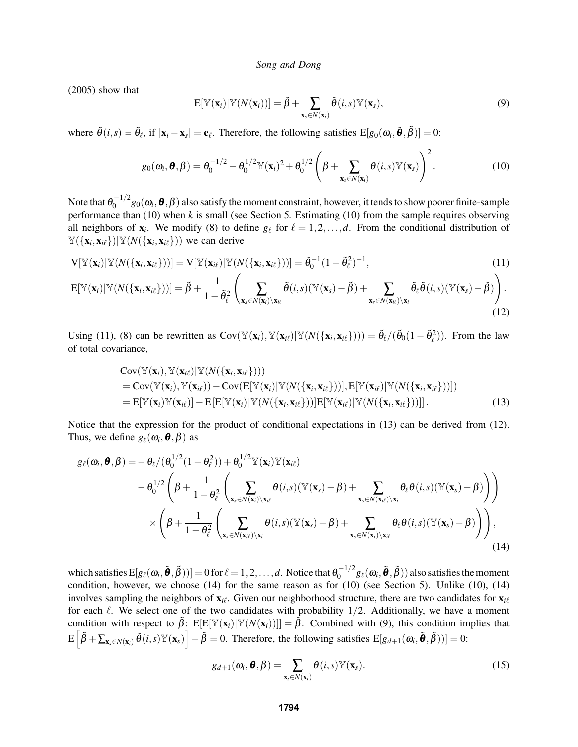(2005) show that

$$
E[\mathbb{Y}(\mathbf{x}_i)|\mathbb{Y}(N(\mathbf{x}_i))] = \tilde{\beta} + \sum_{\mathbf{x}_s \in N(\mathbf{x}_i)} \tilde{\theta}(i,s) \mathbb{Y}(\mathbf{x}_s),
$$
\n(9)

where  $\tilde{\theta}(i,s) = \tilde{\theta}_{\ell}$ , if  $|\mathbf{x}_i - \mathbf{x}_s| = \mathbf{e}_{\ell}$ . Therefore, the following satisfies  $E[g_0(\omega_i, \tilde{\theta}, \tilde{\beta})] = 0$ :

$$
g_0(\boldsymbol{\omega}_i, \boldsymbol{\theta}, \boldsymbol{\beta}) = \theta_0^{-1/2} - \theta_0^{1/2} \mathbb{Y}(\mathbf{x}_i)^2 + \theta_0^{1/2} \left( \boldsymbol{\beta} + \sum_{\mathbf{x}_s \in N(\mathbf{x}_i)} \boldsymbol{\theta}(i, s) \mathbb{Y}(\mathbf{x}_s) \right)^2.
$$
 (10)

Note that  $\theta_0^{-1/2}$  $\int_0^{-1/2} g_0(\omega_i, \theta, \beta)$  also satisfy the moment constraint, however, it tends to show poorer finite-sample performance than (10) when *k* is small (see Section 5. Estimating (10) from the sample requires observing all neighbors of  $x_i$ . We modify (8) to define  $g_\ell$  for  $\ell = 1, 2, \ldots, d$ . From the conditional distribution of  $\mathbb{Y}(\{\mathbf{x}_i, \mathbf{x}_{i\ell}\})|\mathbb{Y}(N(\{\mathbf{x}_i, \mathbf{x}_{i\ell}\}))$  we can derive

$$
\mathbf{V}[\mathbb{Y}(\mathbf{x}_i)|\mathbb{Y}(N(\{\mathbf{x}_i,\mathbf{x}_{i\ell}\}))]=\mathbf{V}[\mathbb{Y}(\mathbf{x}_{i\ell})|\mathbb{Y}(N(\{\mathbf{x}_i,\mathbf{x}_{i\ell}\}))]=\tilde{\theta}_0^{-1}(1-\tilde{\theta}_\ell^2)^{-1},
$$
\n(11)

$$
\mathbf{E}[\mathbb{Y}(\mathbf{x}_i)|\mathbb{Y}(N(\{\mathbf{x}_i,\mathbf{x}_{i\ell}\}))]=\tilde{\beta}+\frac{1}{1-\tilde{\theta}_{\ell}^2}\left(\sum_{\mathbf{x}_s\in N(\mathbf{x}_i)\setminus\mathbf{x}_{i\ell}}\tilde{\theta}(i,s)(\mathbb{Y}(\mathbf{x}_s)-\tilde{\beta})+\sum_{\mathbf{x}_s\in N(\mathbf{x}_{i\ell})\setminus\mathbf{x}_i}\tilde{\theta}_{\ell}\tilde{\theta}(i,s)(\mathbb{Y}(\mathbf{x}_s)-\tilde{\beta})\right).
$$
\n(12)

Using (11), (8) can be rewritten as  $Cov(\mathbb{Y}(\mathbf{x}_i), \mathbb{Y}(\mathbf{x}_{i\ell})|\mathbb{Y}(N(\{\mathbf{x}_i, \mathbf{x}_{i\ell}\})) = \tilde{\theta}_{\ell}/(\tilde{\theta}_{0}(1-\tilde{\theta}_{\ell}^2))$ . From the law of total covariance,

$$
\text{Cov}(\mathbb{Y}(\mathbf{x}_i), \mathbb{Y}(\mathbf{x}_{i\ell}) | \mathbb{Y}(N(\{\mathbf{x}_i, \mathbf{x}_{i\ell}\})) )
$$
\n
$$
= \text{Cov}(\mathbb{Y}(\mathbf{x}_i), \mathbb{Y}(\mathbf{x}_{i\ell})) - \text{Cov}(\mathbb{E}[\mathbb{Y}(\mathbf{x}_i) | \mathbb{Y}(N(\{\mathbf{x}_i, \mathbf{x}_{i\ell}\}))], \mathbb{E}[\mathbb{Y}(\mathbf{x}_{i\ell}) | \mathbb{Y}(N(\{\mathbf{x}_i, \mathbf{x}_{i\ell}\}))])
$$
\n
$$
= \mathbb{E}[\mathbb{Y}(\mathbf{x}_i) \mathbb{Y}(\mathbf{x}_{i\ell})] - \mathbb{E}[\mathbb{E}[\mathbb{Y}(\mathbf{x}_i) | \mathbb{Y}(N(\{\mathbf{x}_i, \mathbf{x}_{i\ell}\}))] \mathbb{E}[\mathbb{Y}(\mathbf{x}_{i\ell}) | \mathbb{Y}(N(\{\mathbf{x}_i, \mathbf{x}_{i\ell}\}))]].
$$
\n(13)

Notice that the expression for the product of conditional expectations in (13) can be derived from (12). Thus, we define  $g_{\ell}(\omega_i, \boldsymbol{\theta}, \beta)$  as

$$
g_{\ell}(\omega_{i}, \boldsymbol{\theta}, \beta) = -\theta_{\ell}/(\theta_{0}^{1/2}(1-\theta_{\ell}^{2})) + \theta_{0}^{1/2} \mathbb{Y}(\mathbf{x}_{i}) \mathbb{Y}(\mathbf{x}_{i\ell})
$$
  
\n
$$
-\theta_{0}^{1/2} \left(\beta + \frac{1}{1-\theta_{\ell}^{2}} \left(\sum_{\mathbf{x}_{s} \in N(\mathbf{x}_{i}) \setminus \mathbf{x}_{i\ell}} \theta(i, s) (\mathbb{Y}(\mathbf{x}_{s}) - \beta) + \sum_{\mathbf{x}_{s} \in N(\mathbf{x}_{i\ell}) \setminus \mathbf{x}_{i}} \theta_{\ell} \theta(i, s) (\mathbb{Y}(\mathbf{x}_{s}) - \beta)\right)\right)
$$
  
\n
$$
\times \left(\beta + \frac{1}{1-\theta_{\ell}^{2}} \left(\sum_{\mathbf{x}_{s} \in N(\mathbf{x}_{i\ell}) \setminus \mathbf{x}_{i}} \theta(i, s) (\mathbb{Y}(\mathbf{x}_{s}) - \beta) + \sum_{\mathbf{x}_{s} \in N(\mathbf{x}_{i}) \setminus \mathbf{x}_{i\ell}} \theta_{\ell} \theta(i, s) (\mathbb{Y}(\mathbf{x}_{s}) - \beta)\right)\right),
$$
\n(14)

which satisfies  $E[g_\ell(\omega_i, \tilde{\boldsymbol{\theta}}, \tilde{\beta}))] = 0$  for  $\ell = 1, 2, ..., d$ . Notice that  $\theta_0^{-1/2}$  $\int_0^{-1/2} \! g_\ell(\bm{\omega}_i, \bm{\tilde{\theta}}, \bm{\tilde{\beta}}))$  also satisfies the moment condition, however, we choose (14) for the same reason as for (10) (see Section 5). Unlike (10), (14) involves sampling the neighbors of  $\mathbf{x}_{i\ell}$ . Given our neighborhood structure, there are two candidates for  $\mathbf{x}_{i\ell}$ for each  $\ell$ . We select one of the two candidates with probability 1/2. Additionally, we have a moment condition with respect to  $\tilde{\beta}$ : E[E[Y(**x**<sub>*i*</sub>)|Y(*N*(**x**<sub>*i*</sub>))]] =  $\tilde{\beta}$ . Combined with (9), this condition implies that  $E\left[\tilde{\beta} + \sum_{\mathbf{x}_s \in N(\mathbf{x}_i)} \tilde{\theta}(i,s) \mathbb{Y}(\mathbf{x}_s)\right] - \tilde{\beta} = 0.$  Therefore, the following satisfies  $E[g_{d+1}(\omega_i, \tilde{\boldsymbol{\theta}}, \tilde{\beta}))] = 0.$ 

$$
g_{d+1}(\boldsymbol{\omega}_i, \boldsymbol{\theta}, \boldsymbol{\beta}) = \sum_{\mathbf{x}_s \in N(\mathbf{x}_i)} \boldsymbol{\theta}(i, s) \mathbb{Y}(\mathbf{x}_s).
$$
 (15)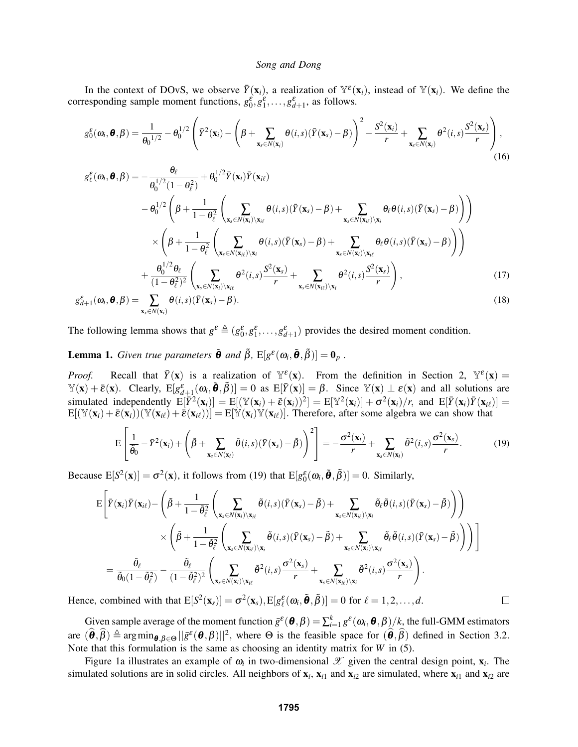In the context of DOvS, we observe  $\bar{Y}(\mathbf{x}_i)$ , a realization of  $\mathbb{Y}^{\varepsilon}(\mathbf{x}_i)$ , instead of  $\mathbb{Y}(\mathbf{x}_i)$ . We define the corresponding sample moment functions,  $g_0^{\varepsilon}, g_1^{\varepsilon}, \dots, g_{d+1}^{\varepsilon}$ , as follows.

$$
g_0^{\varepsilon}(\omega_i, \boldsymbol{\theta}, \beta) = \frac{1}{\theta_0^{1/2}} - \theta_0^{1/2} \left( \bar{Y}^2(\mathbf{x}_i) - \left( \beta + \sum_{\mathbf{x}_s \in N(\mathbf{x}_i)} \theta(i, s) (\bar{Y}(\mathbf{x}_s) - \beta) \right)^2 - \frac{S^2(\mathbf{x}_i)}{r} + \sum_{\mathbf{x}_s \in N(\mathbf{x}_i)} \theta^2(i, s) \frac{S^2(\mathbf{x}_s)}{r} \right), \tag{16}
$$

$$
g_{\ell}^{\varepsilon}(\omega_{i}, \boldsymbol{\theta}, \beta) = -\frac{\theta_{\ell}}{\theta_{0}^{1/2} (1 - \theta_{\ell}^{2})} + \theta_{0}^{1/2} \bar{Y}(\mathbf{x}_{i}) \bar{Y}(\mathbf{x}_{i\ell})
$$

$$
- \theta_{0}^{1/2} \left( \beta + \frac{1}{1 - \theta_{\ell}^{2}} \left( \sum_{\mathbf{x}_{s} \in N(\mathbf{x}_{i}) \setminus \mathbf{x}_{i\ell}} \theta(i, s) (\bar{Y}(\mathbf{x}_{s}) - \beta) + \sum_{\mathbf{x}_{s} \in N(\mathbf{x}_{i\ell}) \setminus \mathbf{x}_{i}} \theta_{\ell} \theta(i, s) (\bar{Y}(\mathbf{x}_{s}) - \beta) \right) \right)
$$

$$
\times \left( \beta + \frac{1}{1 - \theta_{\ell}^{2}} \left( \sum_{\mathbf{x}_{s} \in N(\mathbf{x}_{i\ell}) \setminus \mathbf{x}_{i}} \theta(i, s) (\bar{Y}(\mathbf{x}_{s}) - \beta) + \sum_{\mathbf{x}_{s} \in N(\mathbf{x}_{i}) \setminus \mathbf{x}_{i\ell}} \theta_{\ell} \theta(i, s) (\bar{Y}(\mathbf{x}_{s}) - \beta) \right) \right)
$$

$$
+ \frac{\theta_{0}^{1/2} \theta_{\ell}}{(1 - \theta_{\ell}^{2})^{2}} \left( \sum_{\mathbf{x}_{s} \in N(\mathbf{x}_{i}) \setminus \mathbf{x}_{i\ell}} \theta^{2}(i, s) \frac{S^{2}(\mathbf{x}_{s})}{r} + \sum_{\mathbf{x}_{s} \in N(\mathbf{x}_{i\ell}) \setminus \mathbf{x}_{i}} \theta^{2}(i, s) \frac{S^{2}(\mathbf{x}_{s})}{r} \right), \tag{17}
$$

$$
g_{d+1}^{\varepsilon}(\omega_i, \boldsymbol{\theta}, \beta) = \sum_{\mathbf{x}_s \in N(\mathbf{x}_i)} \theta(i, s) (\bar{Y}(\mathbf{x}_s) - \beta).
$$
\n(18)

The following lemma shows that  $g^{\varepsilon} \triangleq (g_0^{\varepsilon}, g_1^{\varepsilon}, \dots, g_{d+1}^{\varepsilon})$  provides the desired moment condition.

**Lemma 1.** *Given true parameters*  $\tilde{\boldsymbol{\theta}}$  *and*  $\tilde{\beta}$ ,  $E[g^{\varepsilon}(\omega_i, \tilde{\boldsymbol{\theta}}, \tilde{\beta})] = \mathbf{0}_p$ .

*Proof.* Recall that  $\bar{Y}(\mathbf{x})$  is a realization of  $\mathbb{Y}^{\varepsilon}(\mathbf{x})$ . From the definition in Section 2,  $\mathbb{Y}^{\varepsilon}(\mathbf{x}) =$  $\mathbb{Y}(\mathbf{x}) + \bar{\varepsilon}(\mathbf{x})$ . Clearly,  $E[g_{d+1}^{\varepsilon}(\omega_i, \tilde{\theta}, \tilde{\beta})] = 0$  as  $E[\bar{Y}(\mathbf{x})] = \beta$ . Since  $\mathbb{Y}(\mathbf{x}) \perp \varepsilon(\mathbf{x})$  and all solutions are  $\text{simulated independently } E[\overline{Y}^2(\mathbf{x}_i)] = E[(\mathbb{Y}(\mathbf{x}_i) + \overline{\varepsilon}(\mathbf{x}_i))^2] = E[\mathbb{Y}^2(\mathbf{x}_i)] + \sigma^2(\mathbf{x}_i)/r$ , and  $E[\overline{Y}(\mathbf{x}_i)\overline{Y}(\mathbf{x}_i)] = E[\overline{Y}^2(\mathbf{x}_i)]$  $E[(\mathbb{Y}(\mathbf{x}_i) + \bar{\varepsilon}(\mathbf{x}_i))(\mathbb{Y}(\mathbf{x}_{i\ell}) + \bar{\varepsilon}(\mathbf{x}_{i\ell}))] = E[\mathbb{Y}(\mathbf{x}_i)\mathbb{Y}(\mathbf{x}_{i\ell})]$ . Therefore, after some algebra we can show that

$$
E\left[\frac{1}{\tilde{\theta}_0} - \bar{Y}^2(\mathbf{x}_i) + \left(\tilde{\beta} + \sum_{\mathbf{x}_s \in N(\mathbf{x}_i)} \tilde{\theta}(i,s) (\bar{Y}(\mathbf{x}_s) - \tilde{\beta})\right)^2\right] = -\frac{\sigma^2(\mathbf{x}_i)}{r} + \sum_{\mathbf{x}_s \in N(\mathbf{x}_i)} \tilde{\theta}^2(i,s) \frac{\sigma^2(\mathbf{x}_s)}{r}.
$$
 (19)

Because  $E[S^2(\mathbf{x})] = \sigma^2(\mathbf{x})$ , it follows from (19) that  $E[g_0^{\varepsilon}(\omega_i, \tilde{\boldsymbol{\theta}}, \tilde{\beta})] = 0$ . Similarly,

$$
\begin{split} \textrm{E}\Bigg[\bar{Y}(\mathbf{x}_i)\bar{Y}(\mathbf{x}_{i\ell}) - \left(\tilde{\beta} + \frac{1}{1-\tilde{\theta}_\ell^2}\left(\sum_{\mathbf{x}_s \in N(\mathbf{x}_i)\backslash \mathbf{x}_{i\ell}} \tilde{\theta}(i,s)(\bar{Y}(\mathbf{x}_s) - \tilde{\beta}) + \sum_{\mathbf{x}_s \in N(\mathbf{x}_{i\ell})\backslash \mathbf{x}_i} \tilde{\theta}_\ell \tilde{\theta}(i,s)(\bar{Y}(\mathbf{x}_s) - \tilde{\beta})\right)\Bigg) \\ & \qquad \times \left(\tilde{\beta} + \frac{1}{1-\tilde{\theta}_\ell^2}\left(\sum_{\mathbf{x}_s \in N(\mathbf{x}_{i\ell})\backslash \mathbf{x}_i} \tilde{\theta}(i,s)(\bar{Y}(\mathbf{x}_s) - \tilde{\beta}) + \sum_{\mathbf{x}_s \in N(\mathbf{x}_i)\backslash \mathbf{x}_{i\ell}} \tilde{\theta}_\ell \tilde{\theta}(i,s)(\bar{Y}(\mathbf{x}_s) - \tilde{\beta})\right)\right)\Bigg] \\ & = \frac{\tilde{\theta}_\ell}{\tilde{\theta}_0(1-\tilde{\theta}_\ell^2)} - \frac{\tilde{\theta}_\ell}{(1-\tilde{\theta}_\ell^2)^2}\left(\sum_{\mathbf{x}_s \in N(\mathbf{x}_i)\backslash \mathbf{x}_{i\ell}} \tilde{\theta}^2(i,s)\frac{\sigma^2(\mathbf{x}_s)}{r} + \sum_{\mathbf{x}_s \in N(\mathbf{x}_{i\ell})\backslash \mathbf{x}_i} \tilde{\theta}^2(i,s)\frac{\sigma^2(\mathbf{x}_s)}{r}\right). \end{split}
$$

 $\Box$ 

Hence, combined with that  $E[S^2(\mathbf{x}_s)] = \sigma^2(\mathbf{x}_s)$ ,  $E[g_\ell^{\varepsilon}(\omega_i, \tilde{\boldsymbol{\theta}}, \tilde{\beta})] = 0$  for  $\ell = 1, 2, ..., d$ .

Given sample average of the moment function  $\bar{g}^{\epsilon}(\theta, \beta) = \sum_{i=1}^{k} g^{\epsilon}(\omega_i, \theta, \beta)/k$ , the full-GMM estimators are  $(\hat{\theta}, \hat{\beta}) \triangleq \arg \min_{\theta, \beta \in \Theta} ||\bar{g}^{\varepsilon}(\theta, \beta)||^2$ , where  $\Theta$  is the feasible space for  $(\hat{\theta}, \hat{\beta})$  defined in Section 3.2. Note that this formulation is the same as choosing an identity matrix for *W* in (5).

Figure 1a illustrates an example of  $\omega_i$  in two-dimensional  $\mathscr X$  given the central design point,  $\mathbf x_i$ . The simulated solutions are in solid circles. All neighbors of  $x_i$ ,  $x_{i1}$  and  $x_{i2}$  are simulated, where  $x_{i1}$  and  $x_{i2}$  are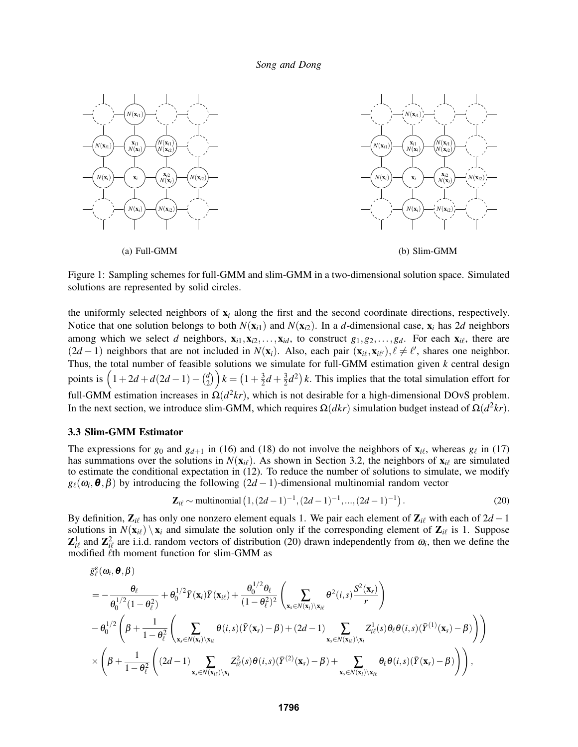

Figure 1: Sampling schemes for full-GMM and slim-GMM in a two-dimensional solution space. Simulated solutions are represented by solid circles.

the uniformly selected neighbors of x*<sup>i</sup>* along the first and the second coordinate directions, respectively. Notice that one solution belongs to both  $N(x_i)$  and  $N(x_i)$ . In a *d*-dimensional case,  $x_i$  has 2*d* neighbors among which we select *d* neighbors,  $\mathbf{x}_{i1}, \mathbf{x}_{i2}, \ldots, \mathbf{x}_{id}$ , to construct  $g_1, g_2, \ldots, g_d$ . For each  $\mathbf{x}_{i\ell}$ , there are  $(2d-1)$  neighbors that are not included in  $N(\mathbf{x}_i)$ . Also, each pair  $(\mathbf{x}_{i\ell}, \mathbf{x}_{i\ell'})$ ,  $\ell \neq \ell'$ , shares one neighbor. Thus, the total number of feasible solutions we simulate for full-GMM estimation given *k* central design points is  $\left(1+2d + d(2d-1) - \binom{d}{2}\right)$  ${k \choose 2}$   $k = (1 + \frac{3}{2})$  $\frac{3}{2}d + \frac{3}{2}$  $\frac{3}{2}d^2$  k. This implies that the total simulation effort for full-GMM estimation increases in  $\Omega(d^2kr)$ , which is not desirable for a high-dimensional DOvS problem. In the next section, we introduce slim-GMM, which requires  $\Omega(dkr)$  simulation budget instead of  $\Omega(d^2kr)$ .

### 3.3 Slim-GMM Estimator

The expressions for  $g_0$  and  $g_{d+1}$  in (16) and (18) do not involve the neighbors of  $\mathbf{x}_{i\ell}$ , whereas  $g_{\ell}$  in (17) has summations over the solutions in  $N(\mathbf{x}_{i\ell})$ . As shown in Section 3.2, the neighbors of  $\mathbf{x}_{i\ell}$  are simulated to estimate the conditional expectation in (12). To reduce the number of solutions to simulate, we modify  $g_{\ell}(\omega_i, \theta, \beta)$  by introducing the following  $(2d-1)$ -dimensional multinomial random vector

$$
\mathbf{Z}_{i\ell} \sim \text{multinomial}\left(1, (2d-1)^{-1}, (2d-1)^{-1}, \dots, (2d-1)^{-1}\right). \tag{20}
$$

By definition,  $\mathbf{Z}_{i\ell}$  has only one nonzero element equals 1. We pair each element of  $\mathbf{Z}_{i\ell}$  with each of 2*d* − 1 solutions in  $N(\mathbf{x}_{i\ell}) \setminus \mathbf{x}_i$  and simulate the solution only if the corresponding element of  $\mathbf{Z}_{i\ell}$  is 1. Suppose  $\mathbf{Z}_{i\ell}^1$  and  $\mathbf{Z}_{i\ell}^2$  are i.i.d. random vectors of distribution (20) drawn independently from  $\omega_i$ , then we define the modified  $\ell$ th moment function for slim-GMM as

$$
\begin{split} &\ddot{g}_{\ell}^{\epsilon}(\omega_{i},\pmb{\theta},\pmb{\beta})\\ &=-\frac{\theta_{\ell}}{\theta_{0}^{1/2}(1-\theta_{\ell}^{2})}+\theta_{0}^{1/2}\bar{Y}(\textbf{x}_{i})\bar{Y}(\textbf{x}_{i\ell})+\frac{\theta_{0}^{1/2}\theta_{\ell}}{(1-\theta_{\ell}^{2})^{2}}\left(\sum_{\textbf{x}_{s}\in N(\textbf{x}_{i})\setminus \textbf{x}_{i\ell}}\theta^{2}(i,s)\frac{S^{2}(\textbf{x}_{s})}{r}\right)\\ &-\theta_{0}^{1/2}\left(\beta+\frac{1}{1-\theta_{\ell}^{2}}\left(\sum_{\textbf{x}_{s}\in N(\textbf{x}_{i})\setminus \textbf{x}_{i\ell}}\theta(i,s)(\bar{Y}(\textbf{x}_{s})-\beta)+(2d-1)\sum_{\textbf{x}_{s}\in N(\textbf{x}_{i\ell})\setminus \textbf{x}_{i}}Z_{i\ell}^{1}(s)\theta_{\ell}\theta(i,s)(\bar{Y}^{(1)}(\textbf{x}_{s})-\beta)\right)\right)\\ &\times\left(\beta+\frac{1}{1-\theta_{\ell}^{2}}\left((2d-1)\sum_{\textbf{x}_{s}\in N(\textbf{x}_{i\ell})\setminus \textbf{x}_{i}}Z_{i\ell}^{2}(s)\theta(i,s)(\bar{Y}^{(2)}(\textbf{x}_{s})-\beta)+\sum_{\textbf{x}_{s}\in N(\textbf{x}_{i})\setminus \textbf{x}_{i\ell}}\theta_{\ell}\theta(i,s)(\bar{Y}(\textbf{x}_{s})-\beta)\right)\right),\end{split}
$$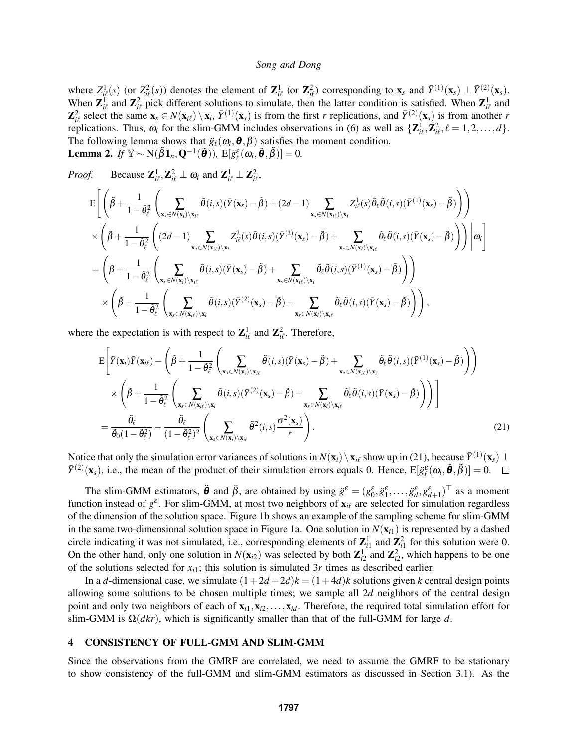where  $Z_{i\ell}^1(s)$  (or  $Z_{i\ell}^2(s)$ ) denotes the element of  $\mathbf{Z}_{i\ell}^1$  (or  $\mathbf{Z}_{i\ell}^2$ ) corresponding to  $\mathbf{x}_s$  and  $\bar{Y}^{(1)}(\mathbf{x}_s) \perp \bar{Y}^{(2)}(\mathbf{x}_s)$ . When  $\mathbf{Z}_{i\ell}^1$  and  $\mathbf{Z}_{i\ell}^2$  pick different solutions to simulate, then the latter condition is satisfied. When  $\mathbf{Z}_{i\ell}^1$  and  $\mathbf{Z}_{i\ell}^2$  select the same  $\mathbf{x}_s \in N(\mathbf{x}_{i\ell}) \setminus \mathbf{x}_i$ ,  $\bar{Y}^{(1)}(\mathbf{x}_s)$  is from the first *r* replications, and  $\bar{Y}^{(2)}(\mathbf{x}_s)$  is from another *r* replications. Thus,  $\omega_i$  for the slim-GMM includes observations in (6) as well as  $\{\mathbf{Z}_{i\ell}^1, \mathbf{Z}_{i\ell}^2, \ell = 1, 2, ..., d\}$ . The following lemma shows that  $\ddot{g}_{\ell}(\omega_i, \theta, \beta)$  satisfies the moment condition. **Lemma 2.** *If*  $\mathbb{Y} \sim N(\tilde{\beta}1_n, \mathbf{Q}^{-1}(\tilde{\boldsymbol{\theta}})), E[\ddot{g}_{\ell}^{\varepsilon}(\omega_i, \tilde{\boldsymbol{\theta}}, \tilde{\beta})] = 0.$ 

*Proof.* Because  $\mathbf{Z}_{i\ell}^1, \mathbf{Z}_{i\ell}^2 \perp \omega_i$  and  $\mathbf{Z}_{i\ell}^1 \perp \mathbf{Z}_{i\ell}^2$ ,

$$
\begin{split} &\mathbf{E}\Bigg[\Bigg(\tilde{\beta}+\frac{1}{1-\tilde{\theta}_{\ell}^{2}}\Bigg(\sum_{\mathbf{x}_{s}\in N(\mathbf{x}_{i})\backslash\mathbf{x}_{i\ell}}\tilde{\theta}(i,s)(\bar{Y}(\mathbf{x}_{s})-\tilde{\beta})+(2d-1)\sum_{\mathbf{x}_{s}\in N(\mathbf{x}_{i\ell})\backslash\mathbf{x}_{i}}Z_{i\ell}^{1}(s)\tilde{\theta}_{\ell}\tilde{\theta}(i,s)(\bar{Y}^{(1)}(\mathbf{x}_{s})-\tilde{\beta})\Bigg)\Bigg)\\ &\times\Bigg(\tilde{\beta}+\frac{1}{1-\tilde{\theta}_{\ell}^{2}}\Bigg((2d-1)\sum_{\mathbf{x}_{s}\in N(\mathbf{x}_{i\ell})\backslash\mathbf{x}_{i}}Z_{i\ell}^{2}(s)\tilde{\theta}(i,s)(\bar{Y}^{(2)}(\mathbf{x}_{s})-\tilde{\beta})+\sum_{\mathbf{x}_{s}\in N(\mathbf{x}_{i})\backslash\mathbf{x}_{i\ell}}\tilde{\theta}_{\ell}\tilde{\theta}(i,s)(\bar{Y}(\mathbf{x}_{s})-\tilde{\beta})\Bigg)\Bigg)\Bigg|\omega_{i}\Bigg] \\ &=\Bigg(\beta+\frac{1}{1-\tilde{\theta}_{\ell}^{2}}\Bigg(\sum_{\mathbf{x}_{s}\in N(\mathbf{x}_{i})\backslash\mathbf{x}_{i\ell}}\tilde{\theta}(i,s)(\bar{Y}(\mathbf{x}_{s})-\tilde{\beta})+\sum_{\mathbf{x}_{s}\in N(\mathbf{x}_{i\ell})\backslash\mathbf{x}_{i}}\tilde{\theta}_{\ell}\tilde{\theta}(i,s)(\bar{Y}^{(1)}(\mathbf{x}_{s})-\tilde{\beta})\Bigg)\Bigg) \\ &\times\Bigg(\tilde{\beta}+\frac{1}{1-\tilde{\theta}_{\ell}^{2}}\Bigg(\sum_{\mathbf{x}_{s}\in N(\mathbf{x}_{i\ell})\backslash\mathbf{x}_{i}}\tilde{\theta}(i,s)(\bar{Y}^{(2)}(\mathbf{x}_{s})-\tilde{\beta})+\sum_{\mathbf{x}_{s}\in N(\mathbf{x}_{i})\backslash\mathbf{x}_{i\ell}}\tilde{\theta}_{\ell}\tilde{\theta}(i,s)(\bar{Y}(\mathbf{x}_{s})-\tilde{\beta})\Bigg)\Bigg),\end{split}
$$

where the expectation is with respect to  $\mathbf{Z}_{i\ell}^1$  and  $\mathbf{Z}_{i\ell}^2$ . Therefore,

$$
E\left[\bar{Y}(\mathbf{x}_{i})\bar{Y}(\mathbf{x}_{i\ell}) - \left(\tilde{\beta} + \frac{1}{1 - \tilde{\theta}_{\ell}^{2}} \left(\sum_{\mathbf{x}_{s} \in N(\mathbf{x}_{i}) \setminus \mathbf{x}_{i\ell}} \tilde{\theta}(i,s) (\bar{Y}(\mathbf{x}_{s}) - \tilde{\beta}) + \sum_{\mathbf{x}_{s} \in N(\mathbf{x}_{i\ell}) \setminus \mathbf{x}_{i}} \tilde{\theta}_{\ell} \tilde{\theta}(i,s) (\bar{Y}^{(1)}(\mathbf{x}_{s}) - \tilde{\beta})\right)\right) \times \left(\tilde{\beta} + \frac{1}{1 - \tilde{\theta}_{\ell}^{2}} \left(\sum_{\mathbf{x}_{s} \in N(\mathbf{x}_{i\ell}) \setminus \mathbf{x}_{i}} \tilde{\theta}(i,s) (\bar{Y}^{(2)}(\mathbf{x}_{s}) - \tilde{\beta}) + \sum_{\mathbf{x}_{s} \in N(\mathbf{x}_{i}) \setminus \mathbf{x}_{i\ell}} \tilde{\theta}_{\ell} \tilde{\theta}(i,s) (\bar{Y}(\mathbf{x}_{s}) - \tilde{\beta})\right)\right)\right] = \frac{\tilde{\theta}_{\ell}}{\tilde{\theta}_{0}(1 - \tilde{\theta}_{\ell}^{2})} - \frac{\tilde{\theta}_{\ell}}{(1 - \tilde{\theta}_{\ell}^{2})^{2}} \left(\sum_{\mathbf{x}_{s} \in N(\mathbf{x}_{i}) \setminus \mathbf{x}_{i\ell}} \tilde{\theta}^{2}(i,s) \frac{\sigma^{2}(\mathbf{x}_{s})}{r}\right).
$$
(21)

Notice that only the simulation error variances of solutions in  $N(\mathbf{x}_i) \setminus \mathbf{x}_{i\ell}$  show up in (21), because  $\bar{Y}^{(1)}(\mathbf{x}_s) \perp$  $\bar{Y}^{(2)}(\mathbf{x}_s)$ , i.e., the mean of the product of their simulation errors equals 0. Hence,  $E[\ddot{g}_{\ell}^{\varepsilon}(\omega_i, \tilde{\boldsymbol{\theta}}, \tilde{\beta})] = 0$ .

The slim-GMM estimators,  $\ddot{\theta}$  and  $\ddot{\beta}$ , are obtained by using  $\ddot{g}^{\varepsilon} = (g_0^{\varepsilon}, \ddot{g}_1^{\varepsilon}, \dots, \ddot{g}_d^{\varepsilon}, g_{d+1}^{\varepsilon})^{\top}$  as a moment function instead of  $g^{\varepsilon}$ . For slim-GMM, at most two neighbors of  $\mathbf{x}_{i\ell}$  are selected for simulation regardless of the dimension of the solution space. Figure 1b shows an example of the sampling scheme for slim-GMM in the same two-dimensional solution space in Figure 1a. One solution in  $N(\mathbf{x}_{i1})$  is represented by a dashed circle indicating it was not simulated, i.e., corresponding elements of  $\mathbb{Z}_{i1}^1$  and  $\mathbb{Z}_{i1}^2$  for this solution were 0. On the other hand, only one solution in  $N(\mathbf{x}_{i2})$  was selected by both  $\mathbf{Z}_{i2}^1$  and  $\mathbf{Z}_{i2}^2$ , which happens to be one of the solutions selected for  $x_i$ ; this solution is simulated 3r times as described earlier.

In a *d*-dimensional case, we simulate  $(1+2d+2d)k = (1+4d)k$  solutions given *k* central design points allowing some solutions to be chosen multiple times; we sample all 2*d* neighbors of the central design point and only two neighbors of each of  $x_{i1}, x_{i2},...,x_{id}$ . Therefore, the required total simulation effort for slim-GMM is Ω(*dkr*), which is significantly smaller than that of the full-GMM for large *d*.

## 4 CONSISTENCY OF FULL-GMM AND SLIM-GMM

Since the observations from the GMRF are correlated, we need to assume the GMRF to be stationary to show consistency of the full-GMM and slim-GMM estimators as discussed in Section 3.1). As the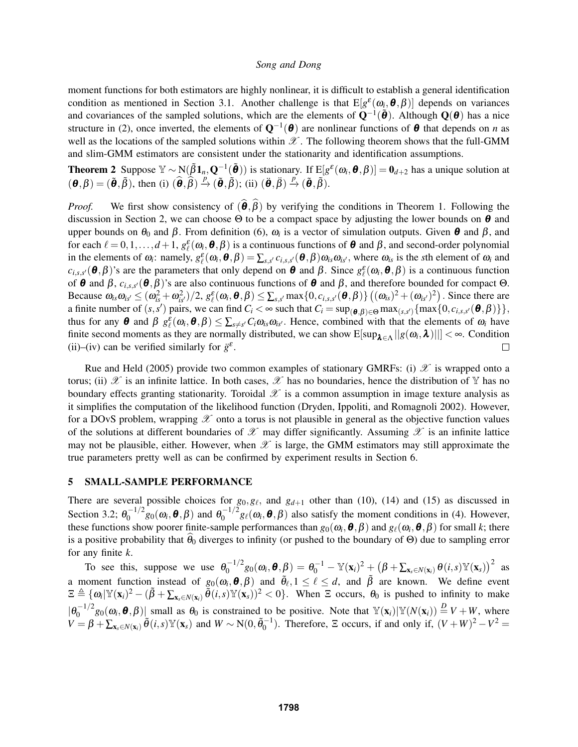moment functions for both estimators are highly nonlinear, it is difficult to establish a general identification condition as mentioned in Section 3.1. Another challenge is that  $E[g^{\varepsilon}(\omega_i, \theta, \beta)]$  depends on variances and covariances of the sampled solutions, which are the elements of  $Q^{-1}(\tilde{\theta})$ . Although  $Q(\theta)$  has a nice structure in (2), once inverted, the elements of  $Q^{-1}(\theta)$  are nonlinear functions of  $\theta$  that depends on *n* as well as the locations of the sampled solutions within  $\mathscr X$ . The following theorem shows that the full-GMM and slim-GMM estimators are consistent under the stationarity and identification assumptions.

**Theorem 2** Suppose  $\mathbb{Y} \sim N(\tilde{\beta} \mathbf{1}_n, \mathbf{Q}^{-1}(\tilde{\boldsymbol{\theta}}))$  is stationary. If  $E[g^{\varepsilon}(\omega_i, \boldsymbol{\theta}, \beta)] = \mathbf{0}_{d+2}$  has a unique solution at  $(\mathbf{\Theta}, \beta) = (\tilde{\mathbf{\Theta}}, \tilde{\beta})$ , then (i)  $(\hat{\mathbf{\Theta}}, \hat{\beta}) \stackrel{p}{\rightarrow} (\tilde{\mathbf{\Theta}}, \tilde{\beta})$ ; (ii)  $(\ddot{\mathbf{\Theta}}, \ddot{\beta}) \stackrel{p}{\rightarrow} (\tilde{\mathbf{\Theta}}, \tilde{\beta})$ .

*Proof.* We first show consistency of  $(\theta, \beta)$  by verifying the conditions in Theorem 1. Following the discussion in Section 2, we can choose  $\Theta$  to be a compact space by adjusting the lower bounds on  $\theta$  and upper bounds on  $\theta_0$  and  $\beta$ . From definition (6),  $\omega_i$  is a vector of simulation outputs. Given  $\theta$  and  $\beta$ , and for each  $\ell = 0,1,\ldots,d+1$ ,  $g_{\ell}^{\varepsilon}(\omega_i,\boldsymbol{\theta},\beta)$  is a continuous functions of  $\boldsymbol{\theta}$  and  $\beta$ , and second-order polynomial in the elements of  $\omega_i$ : namely,  $g_{\ell}^{\varepsilon}(\omega_i, \theta, \beta) = \sum_{s,s'} c_{i,s,s'}(\theta, \beta) \omega_{is} \omega_{is'}$ , where  $\omega_{is}$  is the *s*th element of  $\omega_i$  and  $c_{i,s,s'}(\theta,\beta)$ 's are the parameters that only depend on  $\theta$  and  $\beta$ . Since  $g_{\ell}^{\varepsilon}(\omega_i,\theta,\beta)$  is a continuous function of  $\theta$  and  $\beta$ ,  $c_{i,s,s'}(\theta,\beta)$ 's are also continuous functions of  $\theta$  and  $\beta$ , and therefore bounded for compact  $\Theta$ . Because  $\omega_{is}\omega_{is'} \leq (\omega_{is}^2 + \omega_{is'}^2)/2$ ,  $g_{\ell}^{\varepsilon}(\omega_i, \boldsymbol{\theta}, \beta) \leq \sum_{s,s'} \max\{0, c_{i,s,s'}(\boldsymbol{\theta}, \beta)\} \left((\omega_{is})^2 + (\omega_{is'})^2\right)$ . Since there are a finite number of  $(s, s')$  pairs, we can find  $C_i < \infty$  such that  $C_i = \sup_{(\theta, \beta) \in \Theta} \max_{(s, s')} \{ \max \{0, c_{i, s, s'}(\theta, \beta) \} \},$ thus for any  $\theta$  and  $\beta$   $g_{\ell}^{\varepsilon}(\omega_i, \theta, \beta) \le \sum_{s \neq s'} C_i \omega_{is} \omega_{is'}$ . Hence, combined with that the elements of  $\omega_i$  have finite second moments as they are normally distributed, we can show  $E[\sup_{\lambda \in \Lambda} ||g(\omega_i, \lambda)||] < \infty$ . Condition (ii)–(iv) can be verified similarly for  $\ddot{g}^{\varepsilon}$ .  $\Box$ 

Rue and Held (2005) provide two common examples of stationary GMRFs: (i)  $\mathscr X$  is wrapped onto a torus; (ii)  $\mathscr X$  is an infinite lattice. In both cases,  $\mathscr X$  has no boundaries, hence the distribution of  $\mathbb Y$  has no boundary effects granting stationarity. Toroidal  $\mathscr X$  is a common assumption in image texture analysis as it simplifies the computation of the likelihood function (Dryden, Ippoliti, and Romagnoli 2002). However, for a DOvS problem, wrapping  $\mathscr X$  onto a torus is not plausible in general as the objective function values of the solutions at different boundaries of  $\mathscr X$  may differ significantly. Assuming  $\mathscr X$  is an infinite lattice may not be plausible, either. However, when  $\mathscr X$  is large, the GMM estimators may still approximate the true parameters pretty well as can be confirmed by experiment results in Section 6.

## 5 SMALL-SAMPLE PERFORMANCE

There are several possible choices for  $g_0, g_\ell$ , and  $g_{d+1}$  other than (10), (14) and (15) as discussed in Section 3.2;  $\theta_0^{-1/2}$  $\theta_0^{-1/2}$ g<sub>0</sub> $(\omega_i, \boldsymbol{\theta}, \beta)$  and  $\theta_0^{-1/2}$  $\int_0^{-1/2} g_\ell(\omega_i, \theta, \beta)$  also satisfy the moment conditions in (4). However, these functions show poorer finite-sample performances than  $g_0(\omega_i, \bm{\theta}, \bm{\beta})$  and  $g_\ell(\omega_i, \bm{\theta}, \bm{\beta})$  for small *k*; there is a positive probability that  $\theta_0$  diverges to infinity (or pushed to the boundary of Θ) due to sampling error for any finite *k*.

To see this, suppose we use  $\theta_0^{-1/2}$  $\theta_0^{-1/2}g_0(\boldsymbol{\omega}_i,\boldsymbol{\theta},\boldsymbol{\beta})=\theta_0^{-1}-\mathbb{Y}(\mathbf{x}_i)^2+\left(\boldsymbol{\beta}+\sum_{\mathbf{x}_s\in N(\mathbf{x}_i)}\boldsymbol{\theta}(i,s)\mathbb{Y}(\mathbf{x}_s)\right)^2\ \ \mathrm{as}$ a moment function instead of  $g_0(\omega_i, \theta, \beta)$  and  $\tilde{\theta}_\ell, 1 \leq \ell \leq d$ , and  $\tilde{\beta}$  are known. We define event  $\Xi \triangleq {\omega_i |\mathbb{Y}(\mathbf{x}_i)^2 - (\tilde{\beta} + \sum_{\mathbf{x}_s \in N(\mathbf{x}_i)} \tilde{\theta}(i,s) \mathbb{Y}(\mathbf{x}_s))^2} < 0$ . When  $\Xi$  occurs,  $\theta_0$  is pushed to infinity to make  $|\theta_0^{-1/2}g_0(\omega_i,\boldsymbol{\theta},\beta)|$  small as  $\theta_0$  is constrained to be positive. Note that  $\mathbb{Y}(\mathbf{x}_i)|\mathbb{Y}(N(\mathbf{x}_i))\stackrel{D}{=}V+W$ , where  $V = \beta + \sum_{x_s \in N(x_i)} \tilde{\theta}(i,s) \mathbb{Y}(x_s)$  and  $W \sim N(0, \tilde{\theta}_0^{-1})$ . Therefore,  $\Xi$  occurs, if and only if,  $(V+W)^2 - V^2 =$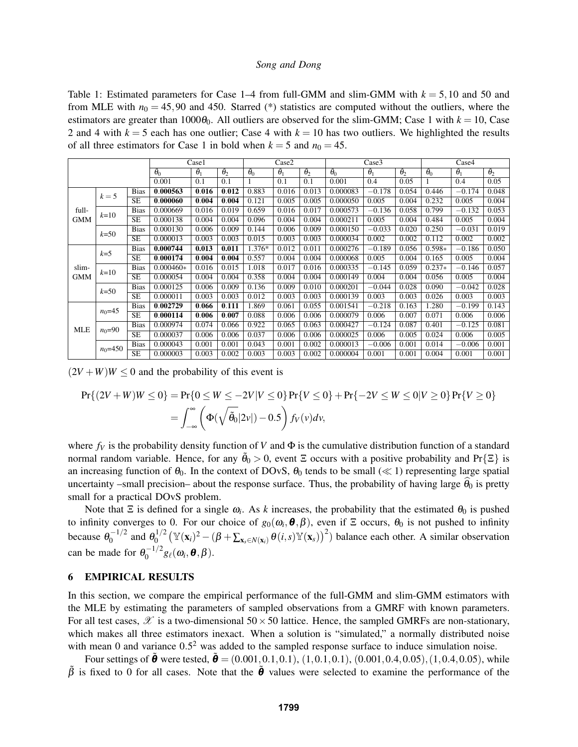Table 1: Estimated parameters for Case  $1-4$  from full-GMM and slim-GMM with  $k = 5,10$  and 50 and from MLE with  $n_0 = 45,90$  and 450. Starred (\*) statistics are computed without the outliers, where the estimators are greater than  $1000\theta_0$ . All outliers are observed for the slim-GMM; Case 1 with  $k = 10$ , Case 2 and 4 with  $k = 5$  each has one outlier; Case 4 with  $k = 10$  has two outliers. We highlighted the results of all three estimators for Case 1 in bold when  $k = 5$  and  $n_0 = 45$ .

|                     |             |                        | Case1              |                   |                   | Case2             |                   |                   | Case3             |                   |                   | Case4             |                   |                    |
|---------------------|-------------|------------------------|--------------------|-------------------|-------------------|-------------------|-------------------|-------------------|-------------------|-------------------|-------------------|-------------------|-------------------|--------------------|
|                     |             |                        | $\tilde{\theta}_0$ | $\ddot{\theta}_1$ | $\ddot{\theta}_2$ | $\ddot{\theta}_0$ | $\ddot{\theta}_1$ | $\ddot{\theta}_2$ | $\ddot{\theta}_0$ | $\ddot{\theta}_1$ | $\ddot{\theta}_2$ | $\ddot{\theta}_0$ | $\ddot{\theta}_1$ | $\tilde{\theta}_2$ |
|                     |             |                        | 0.001              | 0.1               | 0.1               |                   | 0.1               | 0.1               | 0.001             | 0.4               | 0.05              |                   | 0.4               | 0.05               |
| full-<br><b>GMM</b> | $k=5$       | <b>Bias</b>            | 0.000563           | 0.016             | 0.012             | 0.883             | 0.016             | 0.013             | 0.000083          | $-0.178$          | 0.054             | 0.446             | $-0.174$          | 0.048              |
|                     |             | <b>SE</b>              | 0.000060           | 0.004             | 0.004             | 0.121             | 0.005             | 0.005             | 0.000050          | 0.005             | 0.004             | 0.232             | 0.005             | 0.004              |
|                     | $k=10$      | <b>Bias</b>            | 0.000669           | 0.016             | 0.019             | 0.659             | 0.016             | 0.017             | 0.000573          | $-0.136$          | 0.058             | 0.799             | $-0.132$          | 0.053              |
|                     |             | <b>SE</b>              | 0.000138           | 0.004             | 0.004             | 0.096             | 0.004             | 0.004             | 0.000211          | 0.005             | 0.004             | 0.484             | 0.005             | 0.004              |
|                     | $k=50$      | <b>Bias</b>            | 0.000130           | 0.006             | 0.009             | 0.144             | 0.006             | 0.009             | 0.000150          | $-0.033$          | 0.020             | 0.250             | $-0.031$          | 0.019              |
|                     |             | <b>SE</b>              | 0.000013           | 0.003             | 0.003             | 0.015             | 0.003             | 0.003             | 0.000034          | 0.002             | 0.002             | 0.112             | 0.002             | 0.002              |
| slim-<br><b>GMM</b> | $k=5$       | <b>Bias</b>            | 0.000744           | 0.013             | 0.011             | 1.376*            | 0.012             | 0.011             | 0.000276          | $-0.189$          | 0.056             | $0.598*$          | $-0.186$          | 0.050              |
|                     |             | SE                     | 0.000174           | 0.004             | 0.004             | 0.557             | 0.004             | 0.004             | 0.000068          | 0.005             | 0.004             | 0.165             | 0.005             | 0.004              |
|                     | $k=10$      | <b>Bias</b>            | $0.000460*$        | 0.016             | 0.015             | 1.018             | 0.017             | 0.016             | 0.000335          | $-0.145$          | 0.059             | $0.237*$          | $-0.146$          | 0.057              |
|                     |             | <b>SE</b>              | 0.000054           | 0.004             | 0.004             | 0.358             | 0.004             | 0.004             | 0.000149          | 0.004             | 0.004             | 0.056             | 0.005             | 0.004              |
|                     | $k = 50$    | <b>Bias</b>            | 0.000125           | 0.006             | 0.009             | 0.136             | 0.009             | 0.010             | 0.000201          | $-0.044$          | 0.028             | 0.090             | $-0.042$          | 0.028              |
|                     |             | <b>SE</b>              | 0.000011           | 0.003             | 0.003             | 0.012             | 0.003             | 0.003             | 0.000139          | 0.003             | 0.003             | 0.026             | 0.003             | 0.003              |
| <b>MLE</b>          | $n_0 = 45$  | <b>Bias</b>            | 0.002729           | 0.066             | 0.111             | 1.869             | 0.061             | 0.055             | 0.001541          | $-0.218$          | 0.163             | 1.280             | $-0.199$          | 0.143              |
|                     |             | $\overline{\text{SE}}$ | 0.000114           | 0.006             | 0.007             | 0.088             | 0.006             | 0.006             | 0.000079          | 0.006             | 0.007             | 0.071             | 0.006             | 0.006              |
|                     | $n_0 = 90$  | <b>Bias</b>            | 0.000974           | 0.074             | 0.066             | 0.922             | 0.065             | 0.063             | 0.000427          | $-0.124$          | 0.087             | 0.401             | $-0.125$          | 0.081              |
|                     |             | <b>SE</b>              | 0.000037           | 0.006             | 0.006             | 0.037             | 0.006             | 0.006             | 0.000025          | 0.006             | 0.005             | 0.024             | 0.006             | 0.005              |
|                     | $n_0 = 450$ | <b>Bias</b>            | 0.000043           | 0.001             | 0.001             | 0.043             | 0.001             | 0.002             | 0.000013          | $-0.006$          | 0.001             | 0.014             | $-0.006$          | 0.001              |
|                     |             | <b>SE</b>              | 0.000003           | 0.003             | 0.002             | 0.003             | 0.003             | 0.002             | 0.000004          | 0.001             | 0.001             | 0.004             | 0.001             | 0.001              |

 $(2V+W)W \le 0$  and the probability of this event is

$$
\Pr\{(2V+W)W \le 0\} = \Pr\{0 \le W \le -2V|V \le 0\} \Pr\{V \le 0\} + \Pr\{-2V \le W \le 0|V \ge 0\} \Pr\{V \ge 0\}
$$

$$
= \int_{-\infty}^{\infty} \left(\Phi(\sqrt{\tilde{\theta}_0}|2v|) - 0.5\right) f_V(v) dv,
$$

where  $f_V$  is the probability density function of *V* and  $\Phi$  is the cumulative distribution function of a standard normal random variable. Hence, for any  $\tilde{\theta}_0 > 0$ , event  $\Xi$  occurs with a positive probability and Pr{ $\Xi$ } is an increasing function of  $\theta_0$ . In the context of DOvS,  $\theta_0$  tends to be small ( $\ll$  1) representing large spatial uncertainty –small precision– about the response surface. Thus, the probability of having large  $\theta_0$  is pretty small for a practical DOvS problem.

Note that  $\Xi$  is defined for a single  $\omega_i$ . As *k* increases, the probability that the estimated  $\theta_0$  is pushed to infinity converges to 0. For our choice of  $g_0(\omega_i, \theta, \beta)$ , even if  $\Xi$  occurs,  $\theta_0$  is not pushed to infinity because  $\theta_0^{-1/2}$  $0^{-1/2}$  and  $\theta_0^{1/2}$  $\int_0^{1/2} (\mathbb{Y}(\mathbf{x}_i)^2 - (\beta + \sum_{\mathbf{x}_s \in N(\mathbf{x}_i)} \theta(i,s) \mathbb{Y}(\mathbf{x}_s))^2)$  balance each other. A similar observation can be made for  $\theta_0^{-1/2}$  $\int_0^{-1/2} g_\ell(\omega_i, \boldsymbol{\theta}, \boldsymbol{\beta}).$ 

## 6 EMPIRICAL RESULTS

In this section, we compare the empirical performance of the full-GMM and slim-GMM estimators with the MLE by estimating the parameters of sampled observations from a GMRF with known parameters. For all test cases,  $\mathscr X$  is a two-dimensional 50  $\times$  50 lattice. Hence, the sampled GMRFs are non-stationary, which makes all three estimators inexact. When a solution is "simulated," a normally distributed noise with mean 0 and variance  $0.5<sup>2</sup>$  was added to the sampled response surface to induce simulation noise.

Four settings of  $\tilde{\theta}$  were tested,  $\tilde{\theta} = (0.001, 0.1, 0.1), (1, 0.1, 0.1), (0.001, 0.4, 0.05), (1, 0.4, 0.05),$  while  $\tilde{\beta}$  is fixed to 0 for all cases. Note that the  $\tilde{\theta}$  values were selected to examine the performance of the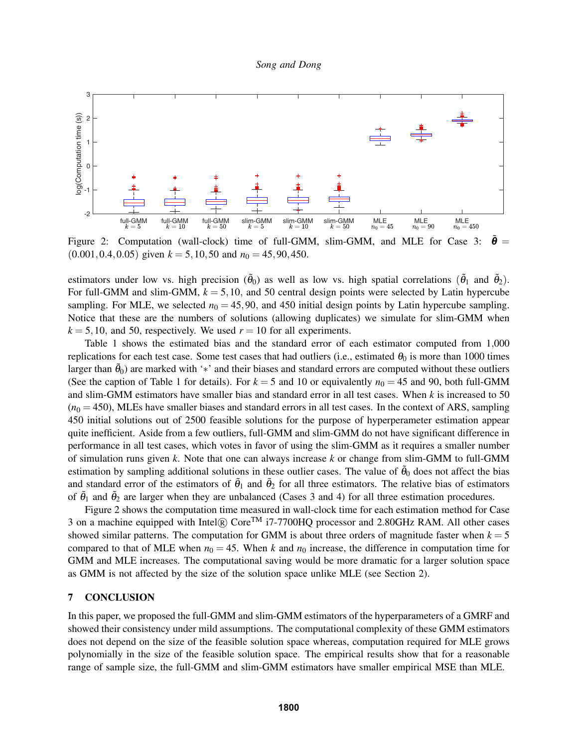

Figure 2: Computation (wall-clock) time of full-GMM, slim-GMM, and MLE for Case 3:  $\hat{\theta}$  =  $(0.001, 0.4, 0.05)$  given  $k = 5, 10, 50$  and  $n_0 = 45, 90, 450$ .

estimators under low vs. high precision  $(\tilde{\theta}_0)$  as well as low vs. high spatial correlations  $(\tilde{\theta}_1$  and  $\tilde{\theta}_2)$ . For full-GMM and slim-GMM,  $k = 5,10$ , and 50 central design points were selected by Latin hypercube sampling. For MLE, we selected  $n_0 = 45,90$ , and 450 initial design points by Latin hypercube sampling. Notice that these are the numbers of solutions (allowing duplicates) we simulate for slim-GMM when  $k = 5,10$ , and 50, respectively. We used  $r = 10$  for all experiments.

Table 1 shows the estimated bias and the standard error of each estimator computed from 1,000 replications for each test case. Some test cases that had outliers (i.e., estimated  $\theta_0$  is more than 1000 times larger than  $\tilde{\theta}_0$ ) are marked with '\*' and their biases and standard errors are computed without these outliers (See the caption of Table 1 for details). For  $k = 5$  and 10 or equivalently  $n_0 = 45$  and 90, both full-GMM and slim-GMM estimators have smaller bias and standard error in all test cases. When *k* is increased to 50  $(n<sub>0</sub> = 450)$ , MLEs have smaller biases and standard errors in all test cases. In the context of ARS, sampling 450 initial solutions out of 2500 feasible solutions for the purpose of hyperperameter estimation appear quite inefficient. Aside from a few outliers, full-GMM and slim-GMM do not have significant difference in performance in all test cases, which votes in favor of using the slim-GMM as it requires a smaller number of simulation runs given *k*. Note that one can always increase *k* or change from slim-GMM to full-GMM estimation by sampling additional solutions in these outlier cases. The value of  $\tilde{\theta}_0$  does not affect the bias and standard error of the estimators of  $\tilde{\theta}_1$  and  $\tilde{\theta}_2$  for all three estimators. The relative bias of estimators of  $\tilde{\theta}_1$  and  $\tilde{\theta}_2$  are larger when they are unbalanced (Cases 3 and 4) for all three estimation procedures.

Figure 2 shows the computation time measured in wall-clock time for each estimation method for Case 3 on a machine equipped with Intel $\Omega$  Core<sup>TM</sup> i7-7700HQ processor and 2.80GHz RAM. All other cases showed similar patterns. The computation for GMM is about three orders of magnitude faster when  $k = 5$ compared to that of MLE when  $n_0 = 45$ . When k and  $n_0$  increase, the difference in computation time for GMM and MLE increases. The computational saving would be more dramatic for a larger solution space as GMM is not affected by the size of the solution space unlike MLE (see Section 2).

## 7 CONCLUSION

In this paper, we proposed the full-GMM and slim-GMM estimators of the hyperparameters of a GMRF and showed their consistency under mild assumptions. The computational complexity of these GMM estimators does not depend on the size of the feasible solution space whereas, computation required for MLE grows polynomially in the size of the feasible solution space. The empirical results show that for a reasonable range of sample size, the full-GMM and slim-GMM estimators have smaller empirical MSE than MLE.